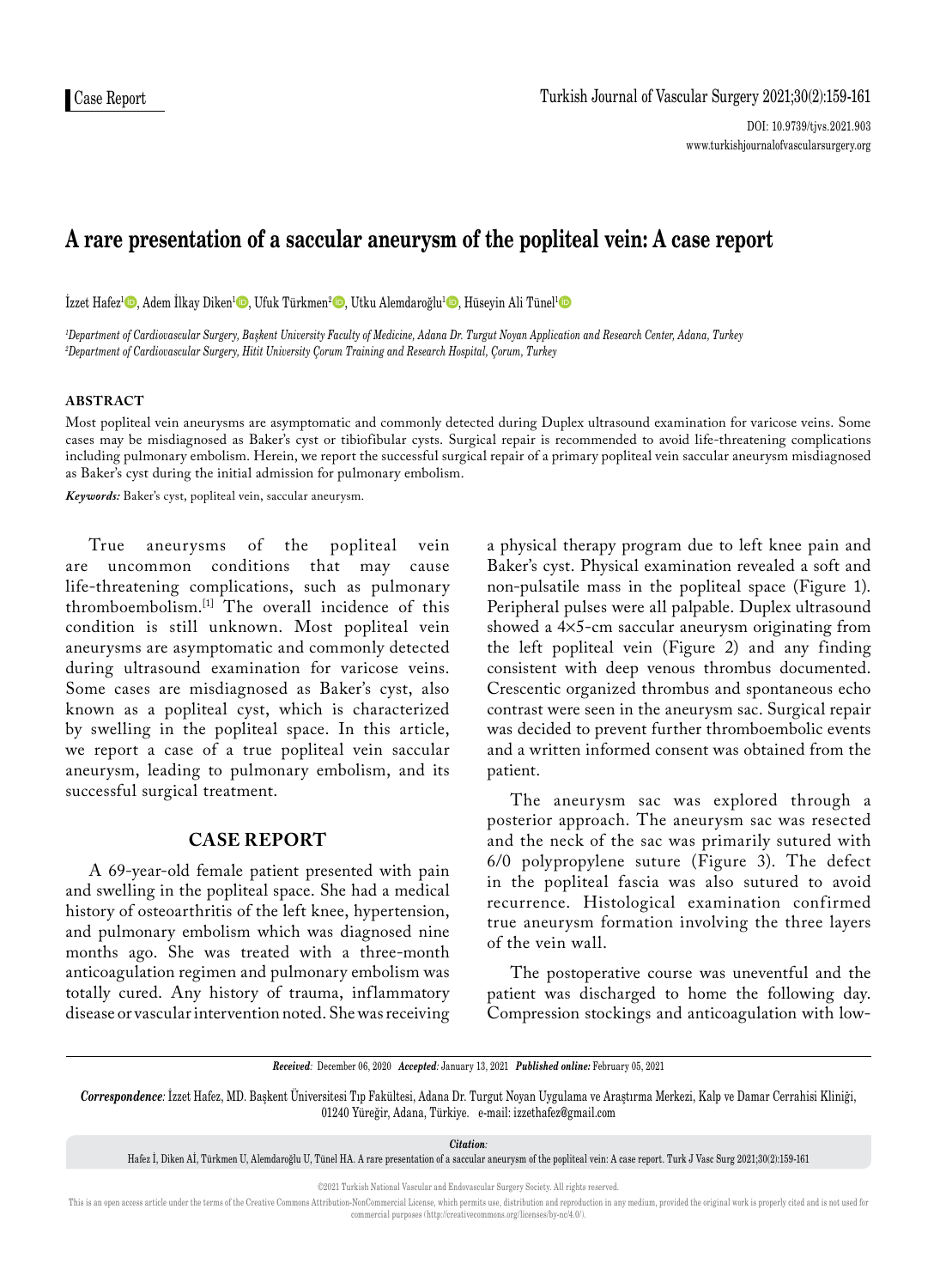# **A rare presentation of a saccular aneurysm of the popliteal vein: A case report**

İzzet Hafez<sup>1</sup>©, Adem İlkay Diken<sup>1</sup>©, Ufuk Türkmen<sup>2</sup>©, Utku Alemdaroğlu<sup>1</sup>©, Hüseyin Ali Tünel<sup>1</sup>©

*1 Department of Cardiovascular Surgery, Başkent University Faculty of Medicine, Adana Dr. Turgut Noyan Application and Research Center, Adana, Turkey 2 Department of Cardiovascular Surgery, Hitit University Çorum Training and Research Hospital, Çorum, Turkey*

### **ABSTRACT**

Most popliteal vein aneurysms are asymptomatic and commonly detected during Duplex ultrasound examination for varicose veins. Some cases may be misdiagnosed as Baker's cyst or tibiofibular cysts. Surgical repair is recommended to avoid life-threatening complications including pulmonary embolism. Herein, we report the successful surgical repair of a primary popliteal vein saccular aneurysm misdiagnosed as Baker's cyst during the initial admission for pulmonary embolism.

*Keywords:* Baker's cyst, popliteal vein, saccular aneurysm.

True aneurysms of the popliteal vein are uncommon conditions that may life-threatening complications, such as pulmonary thromboembolism.[1] The overall incidence of this condition is still unknown. Most popliteal vein aneurysms are asymptomatic and commonly detected during ultrasound examination for varicose veins. Some cases are misdiagnosed as Baker's cyst, also known as a popliteal cyst, which is characterized by swelling in the popliteal space. In this article, we report a case of a true popliteal vein saccular aneurysm, leading to pulmonary embolism, and its successful surgical treatment.

### **CASE REPORT**

A 69-year-old female patient presented with pain and swelling in the popliteal space. She had a medical history of osteoarthritis of the left knee, hypertension, and pulmonary embolism which was diagnosed nine months ago. She was treated with a three-month anticoagulation regimen and pulmonary embolism was totally cured. Any history of trauma, inflammatory disease or vascular intervention noted. She was receiving a physical therapy program due to left knee pain and Baker's cyst. Physical examination revealed a soft and non-pulsatile mass in the popliteal space (Figure 1). Peripheral pulses were all palpable. Duplex ultrasound showed a 4¥5-cm saccular aneurysm originating from the left popliteal vein (Figure 2) and any finding consistent with deep venous thrombus documented. Crescentic organized thrombus and spontaneous echo contrast were seen in the aneurysm sac. Surgical repair was decided to prevent further thromboembolic events and a written informed consent was obtained from the patient.

The aneurysm sac was explored through a posterior approach. The aneurysm sac was resected and the neck of the sac was primarily sutured with 6/0 polypropylene suture (Figure 3). The defect in the popliteal fascia was also sutured to avoid recurrence. Histological examination confirmed true aneurysm formation involving the three layers of the vein wall.

The postoperative course was uneventful and the patient was discharged to home the following day. Compression stockings and anticoagulation with low-

*Received:* December 06, 2020 *Accepted:* January 13, 2021 *Published online:* February 05, 2021

*Correspondence:* İzzet Hafez, MD. Başkent Üniversitesi Tıp Fakültesi, Adana Dr. Turgut Noyan Uygulama ve Araştırma Merkezi, Kalp ve Damar Cerrahisi Kliniği, 01240 Yüreğir, Adana, Türkiye. e-mail: izzethafez@gmail.com

*Citation:*

Hafez İ, Diken Aİ, Türkmen U, Alemdaroğlu U, Tünel HA. A rare presentation of a saccular aneurysm of the popliteal vein: A case report. Turk J Vasc Surg 2021;30(2):159-161

This is an open access article under the terms of the Creative Commons Attribution-NonCommercial License, which permits use, distribution and reproduction in any medium, provided the original work is properly cited and is commercial purposes (http://creativecommons.org/licenses/by-nc/4.0/).

<sup>©2021</sup> Turkish National Vascular and Endovascular Surgery Society. All rights reserved.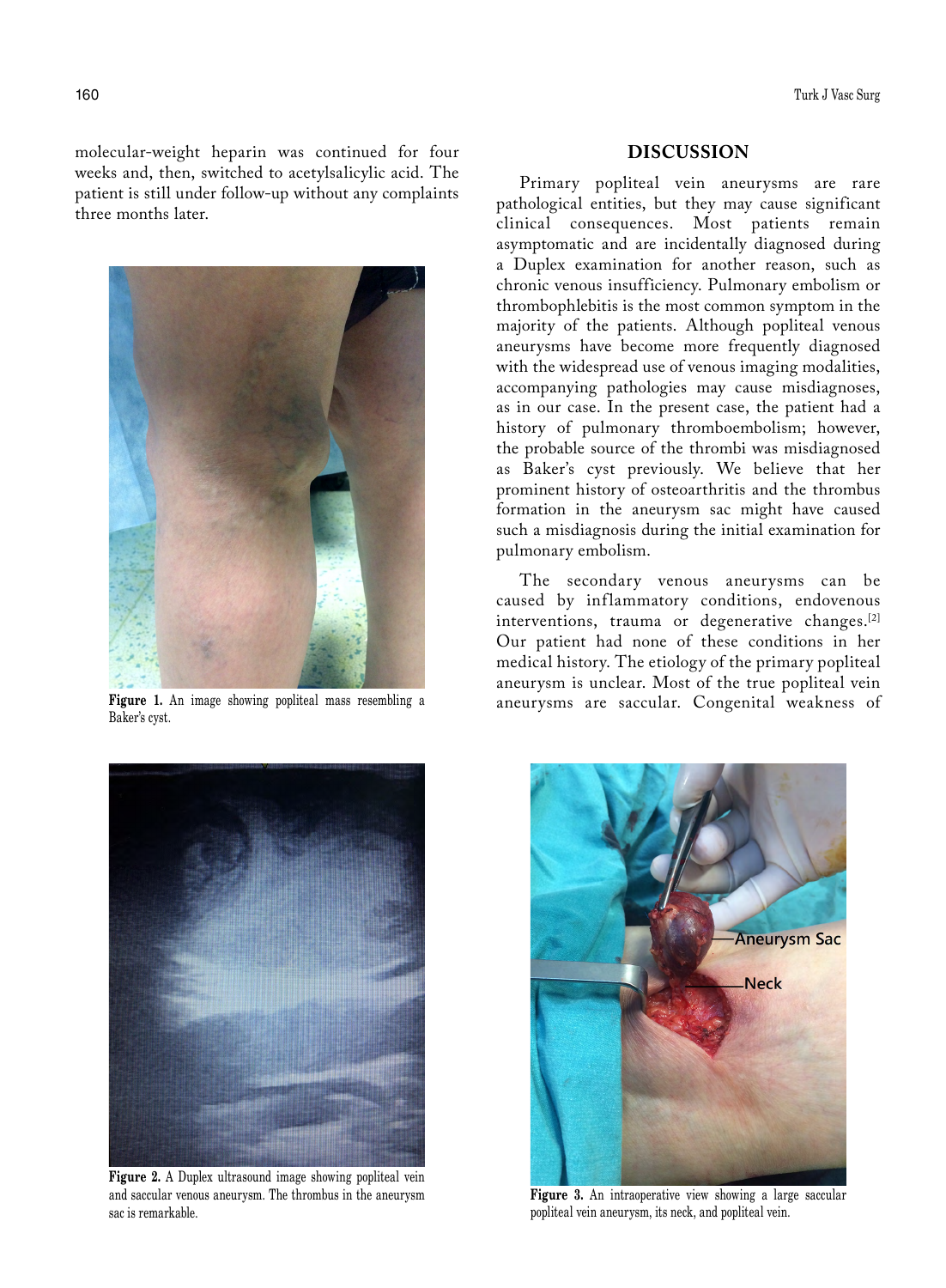molecular-weight heparin was continued for four weeks and, then, switched to acetylsalicylic acid. The patient is still under follow-up without any complaints three months later.



Baker's cyst.



**Figure 2.** A Duplex ultrasound image showing popliteal vein and saccular venous aneurysm. The thrombus in the aneurysm sac is remarkable.

## **DISCUSSION**

Primary popliteal vein aneurysms are rare pathological entities, but they may cause significant clinical consequences. Most patients remain asymptomatic and are incidentally diagnosed during a Duplex examination for another reason, such as chronic venous insufficiency. Pulmonary embolism or thrombophlebitis is the most common symptom in the majority of the patients. Although popliteal venous aneurysms have become more frequently diagnosed with the widespread use of venous imaging modalities, accompanying pathologies may cause misdiagnoses, as in our case. In the present case, the patient had a history of pulmonary thromboembolism; however, the probable source of the thrombi was misdiagnosed as Baker's cyst previously. We believe that her prominent history of osteoarthritis and the thrombus formation in the aneurysm sac might have caused such a misdiagnosis during the initial examination for pulmonary embolism.

The secondary venous aneurysms can be caused by inflammatory conditions, endovenous interventions, trauma or degenerative changes.<sup>[2]</sup> Our patient had none of these conditions in her medical history. The etiology of the primary popliteal aneurysm is unclear. Most of the true popliteal vein Figure 1. An image showing popliteal mass resembling a aneurysms are saccular. Congenital weakness of



**Figure 3.** An intraoperative view showing a large saccular popliteal vein aneurysm, its neck, and popliteal vein.